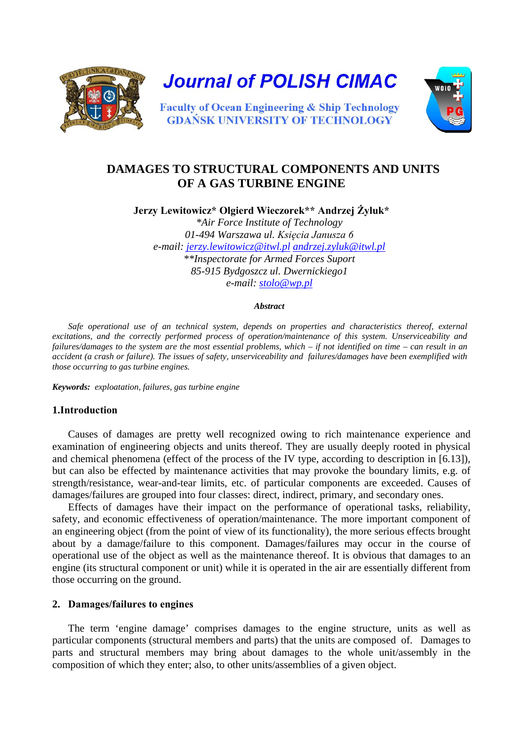

**Journal of POLISH CIMAC** 



**Faculty of Ocean Engineering & Ship Technology GDANSK UNIVERSITY OF TECHNOLOGY** 

# **DAMAGES TO STRUCTURAL COMPONENTS AND UNITS OF A GAS TURBINE ENGINE**

**Jerzy Lewitowicz\* Olgierd Wieczorek\*\* Andrzej Żyluk\***

*\*Air Force Institute of Technology 01-494 Warszawa ul. Księcia Janusza 6 e-mail: [jerzy.lewitowicz@itwl.pl](mailto:jerzy.lewitowicz@itwl.pl) [andrzej.zyluk@itwl.pl](mailto:andrzej.zyluk@itwl.pl)  \*\*Inspectorate for Armed Forces Suport 85-915 Bydgoszcz ul. Dwernickiego1 e-mail: [stolo@wp.pl](mailto:stolo@wp.pl)*

#### *Abstract*

*Safe operational use of an technical system, depends on properties and characteristics thereof, external excitations, and the correctly performed process of operation/maintenance of this system. Unserviceability and failures/damages to the system are the most essential problems, which – if not identified on time – can result in an accident (a crash or failure). The issues of safety, unserviceability and failures/damages have been exemplified with those occurring to gas turbine engines.* 

*Keywords: exploatation, failures, gas turbine engine*

## **1.Introduction**

Causes of damages are pretty well recognized owing to rich maintenance experience and examination of engineering objects and units thereof. They are usually deeply rooted in physical and chemical phenomena (effect of the process of the IV type, according to description in [6.13]), but can also be effected by maintenance activities that may provoke the boundary limits, e.g. of strength/resistance, wear-and-tear limits, etc. of particular components are exceeded. Causes of damages/failures are grouped into four classes: direct, indirect, primary, and secondary ones.

Effects of damages have their impact on the performance of operational tasks, reliability, safety, and economic effectiveness of operation/maintenance. The more important component of an engineering object (from the point of view of its functionality), the more serious effects brought about by a damage/failure to this component. Damages/failures may occur in the course of operational use of the object as well as the maintenance thereof. It is obvious that damages to an engine (its structural component or unit) while it is operated in the air are essentially different from those occurring on the ground.

# **2. Damages/failures to engines**

The term 'engine damage' comprises damages to the engine structure, units as well as particular components (structural members and parts) that the units are composed of. Damages to parts and structural members may bring about damages to the whole unit/assembly in the composition of which they enter; also, to other units/assemblies of a given object.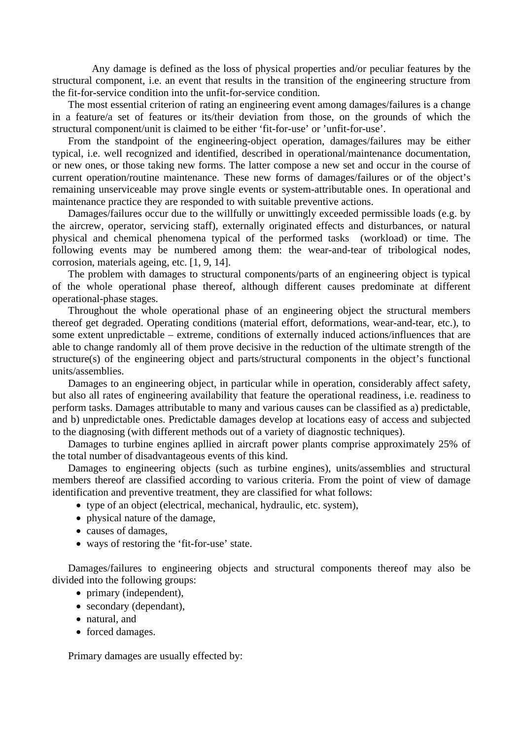Any damage is defined as the loss of physical properties and/or peculiar features by the structural component, i.e. an event that results in the transition of the engineering structure from the fit-for-service condition into the unfit-for-service condition.

The most essential criterion of rating an engineering event among damages/failures is a change in a feature/a set of features or its/their deviation from those, on the grounds of which the structural component/unit is claimed to be either 'fit-for-use' or 'unfit-for-use'.

From the standpoint of the engineering-object operation, damages/failures may be either typical, i.e. well recognized and identified, described in operational/maintenance documentation, or new ones, or those taking new forms. The latter compose a new set and occur in the course of current operation/routine maintenance. These new forms of damages/failures or of the object's remaining unserviceable may prove single events or system-attributable ones. In operational and maintenance practice they are responded to with suitable preventive actions.

Damages/failures occur due to the willfully or unwittingly exceeded permissible loads (e.g. by the aircrew, operator, servicing staff), externally originated effects and disturbances, or natural physical and chemical phenomena typical of the performed tasks (workload) or time. The following events may be numbered among them: the wear-and-tear of tribological nodes, corrosion, materials ageing, etc. [1, 9, 14].

The problem with damages to structural components/parts of an engineering object is typical of the whole operational phase thereof, although different causes predominate at different operational-phase stages.

Throughout the whole operational phase of an engineering object the structural members thereof get degraded. Operating conditions (material effort, deformations, wear-and-tear, etc.), to some extent unpredictable – extreme, conditions of externally induced actions/influences that are able to change randomly all of them prove decisive in the reduction of the ultimate strength of the structure(s) of the engineering object and parts/structural components in the object's functional units/assemblies.

Damages to an engineering object, in particular while in operation, considerably affect safety, but also all rates of engineering availability that feature the operational readiness, i.e. readiness to perform tasks. Damages attributable to many and various causes can be classified as a) predictable, and b) unpredictable ones. Predictable damages develop at locations easy of access and subjected to the diagnosing (with different methods out of a variety of diagnostic techniques).

Damages to turbine engines apllied in aircraft power plants comprise approximately 25% of the total number of disadvantageous events of this kind.

Damages to engineering objects (such as turbine engines), units/assemblies and structural members thereof are classified according to various criteria. From the point of view of damage identification and preventive treatment, they are classified for what follows:

• type of an object (electrical, mechanical, hydraulic, etc. system),

- physical nature of the damage,
- causes of damages,
- ways of restoring the 'fit-for-use' state.

Damages/failures to engineering objects and structural components thereof may also be divided into the following groups:

- primary (independent),
- secondary (dependant),
- natural, and
- forced damages.

Primary damages are usually effected by: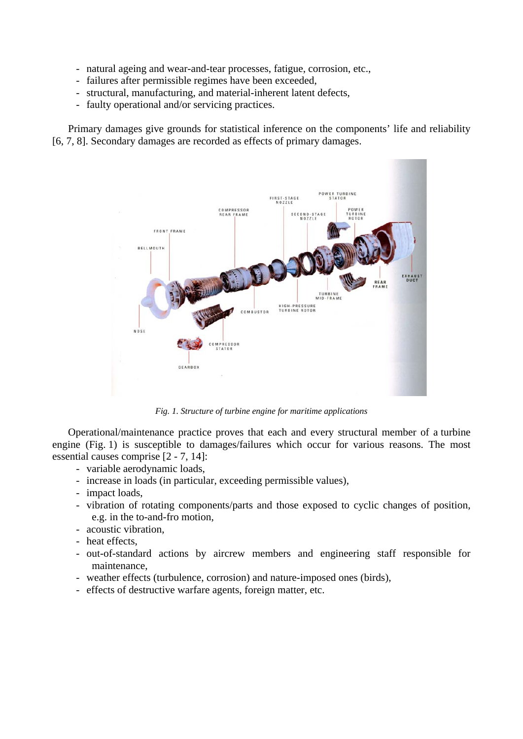- natural ageing and wear-and-tear processes, fatigue, corrosion, etc.,
- failures after permissible regimes have been exceeded,
- structural, manufacturing, and material-inherent latent defects,
- faulty operational and/or servicing practices.

Primary damages give grounds for statistical inference on the components' life and reliability [6, 7, 8]. Secondary damages are recorded as effects of primary damages.



*Fig. 1. Structure of turbine engine for maritime applications*

Operational/maintenance practice proves that each and every structural member of a turbine engine (Fig. 1) is susceptible to damages/failures which occur for various reasons. The most essential causes comprise [2 - 7, 14]:

- variable aerodynamic loads,
- increase in loads (in particular, exceeding permissible values),
- impact loads,
- vibration of rotating components/parts and those exposed to cyclic changes of position, e.g. in the to-and-fro motion,
- acoustic vibration,
- heat effects,
- out-of-standard actions by aircrew members and engineering staff responsible for maintenance,
- weather effects (turbulence, corrosion) and nature-imposed ones (birds),
- effects of destructive warfare agents, foreign matter, etc.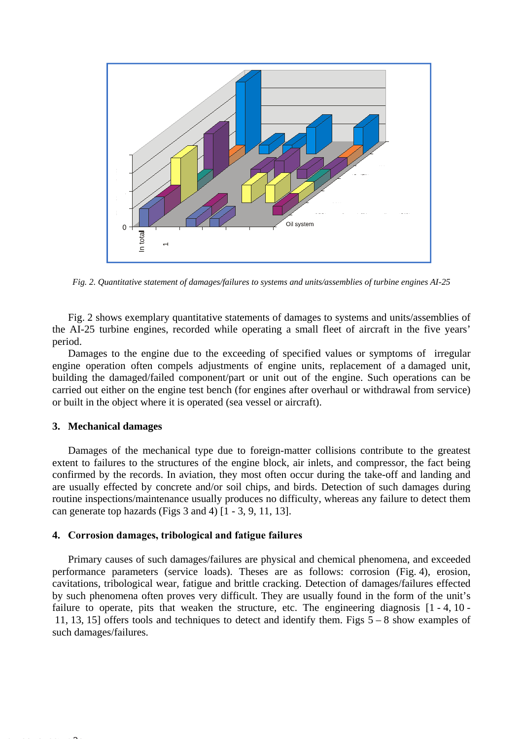

*Fig. 2. Quantitative statement of damages/failures to systems and units/assemblies of turbine engines AI-25*

Fig. 2 shows exemplary quantitative statements of damages to systems and units/assemblies of the AI-25 turbine engines, recorded while operating a small fleet of aircraft in the five years' period.

Damages to the engine due to the exceeding of specified values or symptoms of irregular engine operation often compels adjustments of engine units, replacement of a damaged unit, building the damaged/failed component/part or unit out of the engine. Such operations can be carried out either on the engine test bench (for engines after overhaul or withdrawal from service) or built in the object where it is operated (sea vessel or aircraft).

## **3. Mechanical damages**

Number of damage

Damages of the mechanical type due to foreign-matter collisions contribute to the greatest extent to failures to the structures of the engine block, air inlets, and compressor, the fact being confirmed by the records. In aviation, they most often occur during the take-off and landing and are usually effected by concrete and/or soil chips, and birds. Detection of such damages during routine inspections/maintenance usually produces no difficulty, whereas any failure to detect them can generate top hazards (Figs 3 and 4) [1 - 3, 9, 11, 13].

#### **4. Corrosion damages, tribological and fatigue failures**

Primary causes of such damages/failures are physical and chemical phenomena, and exceeded performance parameters (service loads). Theses are as follows: corrosion (Fig. 4), erosion, cavitations, tribological wear, fatigue and brittle cracking. Detection of damages/failures effected by such phenomena often proves very difficult. They are usually found in the form of the unit's failure to operate, pits that weaken the structure, etc. The engineering diagnosis  $[1 - 4, 10 - 1]$  11, 13, 15] offers tools and techniques to detect and identify them. Figs 5 – 8 show examples of such damages/failures.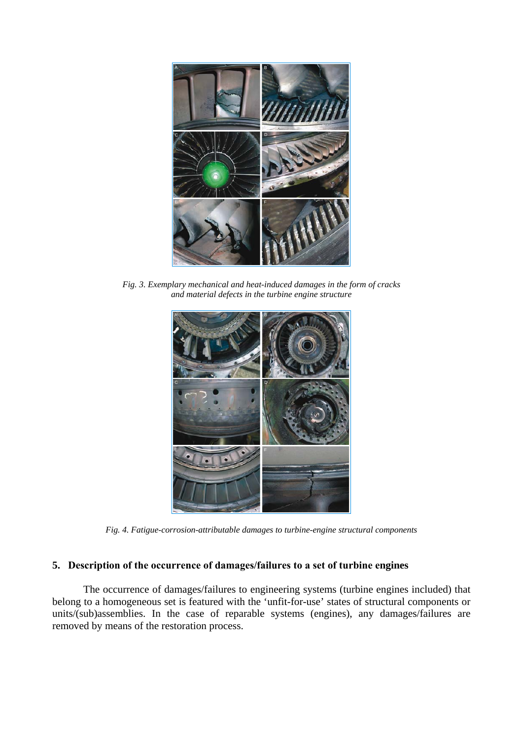

*Fig. 3. Exemplary mechanical and heat-induced damages in the form of cracks and material defects in the turbine engine structure*



*Fig. 4. Fatigue-corrosion-attributable damages to turbine-engine structural components*

# **5. Description of the occurrence of damages/failures to a set of turbine engines**

The occurrence of damages/failures to engineering systems (turbine engines included) that belong to a homogeneous set is featured with the 'unfit-for-use' states of structural components or units/(sub)assemblies. In the case of reparable systems (engines), any damages/failures are removed by means of the restoration process.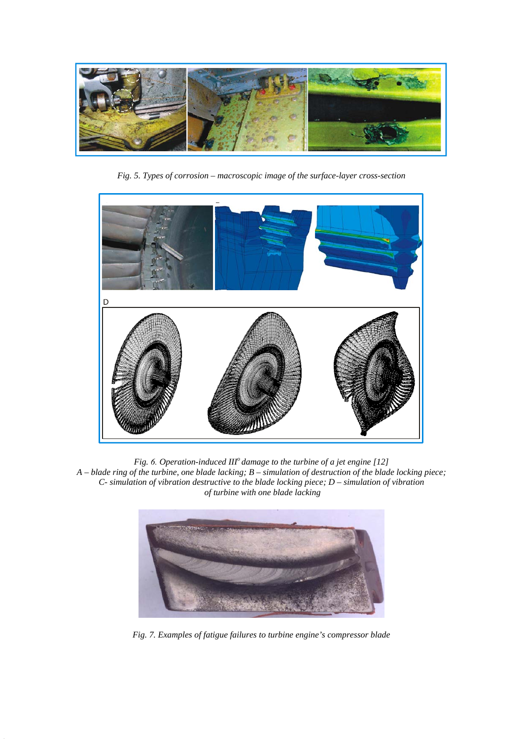

*Fig. 5. Types of corrosion – macroscopic image of the surface-layer cross-section* 



*Fig. 6. Operation-induced IIIo damage to the turbine of a jet engine [12] A – blade ring of the turbine, one blade lacking; B – simulation of destruction of the blade locking piece; C- simulation of vibration destructive to the blade locking piece; D – simulation of vibration of turbine with one blade lacking*



*Fig. 7. Examples of fatigue failures to turbine engine's compressor blade*

C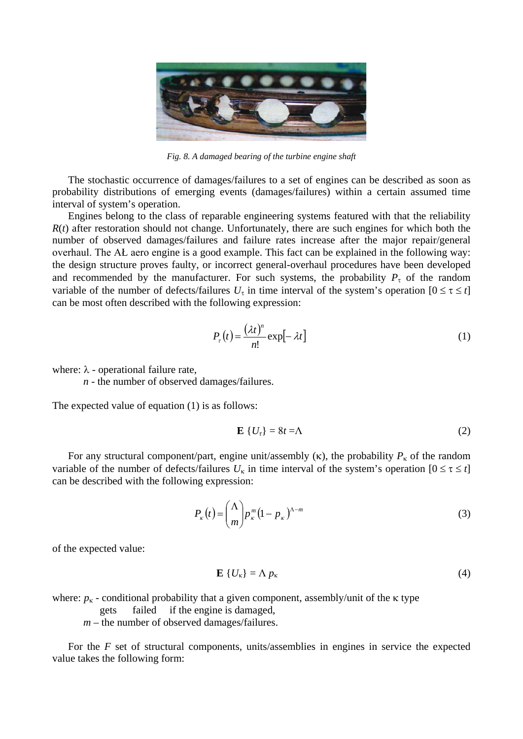

*Fig. 8. A damaged bearing of the turbine engine shaft*

The stochastic occurrence of damages/failures to a set of engines can be described as soon as probability distributions of emerging events (damages/failures) within a certain assumed time interval of system's operation.

Engines belong to the class of reparable engineering systems featured with that the reliability  $R(t)$  after restoration should not change. Unfortunately, there are such engines for which both the number of observed damages/failures and failure rates increase after the major repair/general overhaul. The AŁ aero engine is a good example. This fact can be explained in the following way: the design structure proves faulty, or incorrect general-overhaul procedures have been developed and recommended by the manufacturer. For such systems, the probability  $P_{\tau}$  of the random variable of the number of defects/failures  $U_{\tau}$  in time interval of the system's operation  $[0 \le \tau \le t]$ can be most often described with the following expression:

$$
P_{\tau}(t) = \frac{(\lambda t)^n}{n!} \exp[-\lambda t] \tag{1}
$$

where:  $\lambda$  - operational failure rate,

*n* - the number of observed damages/failures.

The expected value of equation (1) is as follows:

$$
\mathbf{E}\left\{U_{\tau}\right\} = 8t = \Lambda\tag{2}
$$

For any structural component/part, engine unit/assembly (κ), the probability  $P<sub>κ</sub>$  of the random variable of the number of defects/failures  $U_k$  in time interval of the system's operation  $[0 \le \tau \le t]$ can be described with the following expression:

$$
P_{\kappa}(t) = \binom{\Lambda}{m} p_{\kappa}^{m} (1 - p_{\kappa})^{\Lambda - m} \tag{3}
$$

of the expected value:

$$
\mathbf{E}\left\{U_{\kappa}\right\}=\Lambda\,p_{\kappa}\tag{4}
$$

where:  $p_k$  - conditional probability that a given component, assembly/unit of the  $\kappa$  type

gets failed if the engine is damaged,

*m* – the number of observed damages/failures.

For the *F* set of structural components, units/assemblies in engines in service the expected value takes the following form: